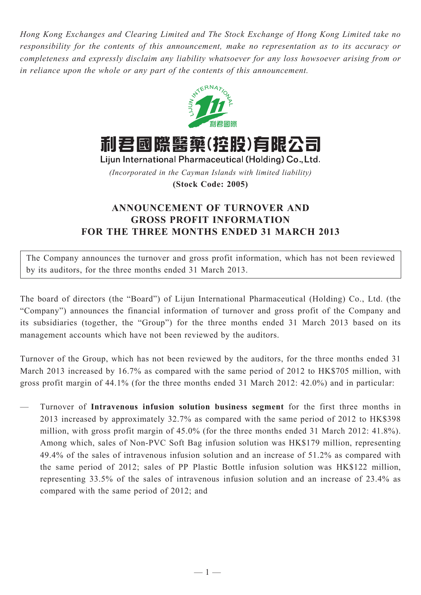*Hong Kong Exchanges and Clearing Limited and The Stock Exchange of Hong Kong Limited take no responsibility for the contents of this announcement, make no representation as to its accuracy or completeness and expressly disclaim any liability whatsoever for any loss howsoever arising from or in reliance upon the whole or any part of the contents of this announcement.*



利君國際醫藥(控股)有限公司

Lijun International Pharmaceutical (Holding) Co., Ltd. *(Incorporated in the Cayman Islands with limited liability)*

**(Stock Code: 2005)**

## **ANNOUNCEMENT OF TURNOVER AND GROSS PROFIT INFORMATION FOR THE THREE MONTHS ENDED 31 MARCH 2013**

The Company announces the turnover and gross profit information, which has not been reviewed by its auditors, for the three months ended 31 March 2013.

The board of directors (the "Board") of Lijun International Pharmaceutical (Holding) Co., Ltd. (the "Company") announces the financial information of turnover and gross profit of the Company and its subsidiaries (together, the "Group") for the three months ended 31 March 2013 based on its management accounts which have not been reviewed by the auditors.

Turnover of the Group, which has not been reviewed by the auditors, for the three months ended 31 March 2013 increased by 16.7% as compared with the same period of 2012 to HK\$705 million, with gross profit margin of 44.1% (for the three months ended 31 March 2012: 42.0%) and in particular:

— Turnover of **Intravenous infusion solution business segment** for the first three months in 2013 increased by approximately 32.7% as compared with the same period of 2012 to HK\$398 million, with gross profit margin of 45.0% (for the three months ended 31 March 2012: 41.8%). Among which, sales of Non-PVC Soft Bag infusion solution was HK\$179 million, representing 49.4% of the sales of intravenous infusion solution and an increase of 51.2% as compared with the same period of 2012; sales of PP Plastic Bottle infusion solution was HK\$122 million, representing 33.5% of the sales of intravenous infusion solution and an increase of 23.4% as compared with the same period of 2012; and